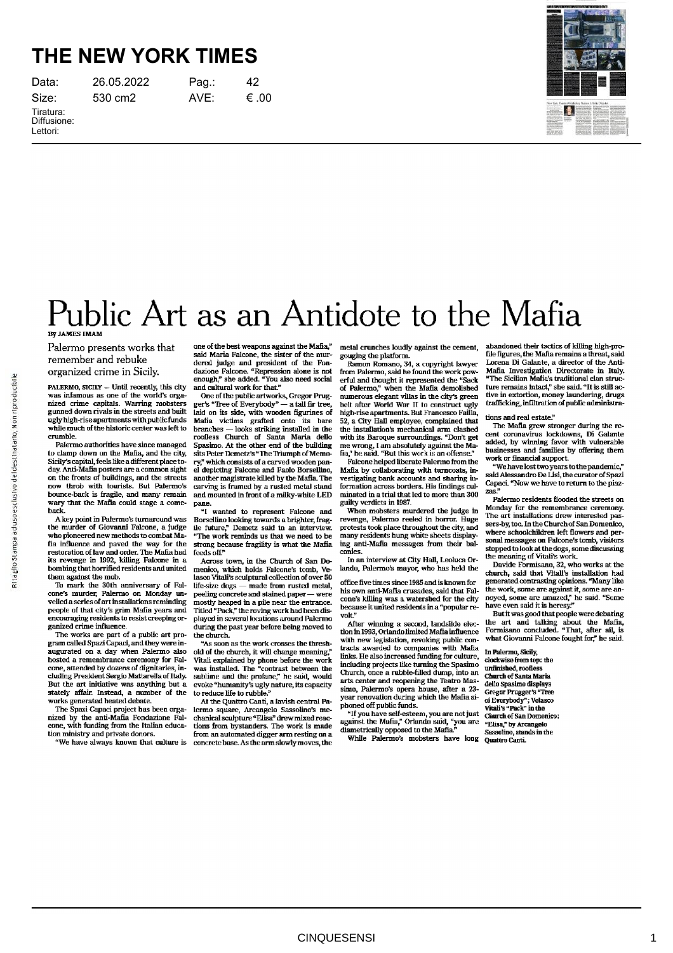## **THE NEW YORK TIMES**

| Data:                    |
|--------------------------|
| Size:                    |
| Tiratura:<br>Diffusione: |

Lettori:

26.05.2022 Pag.: 42 530 cm2 AVE: €.00



## Public Art as an Antidote to the Mafia By JAMES IMAM

Palermo presents works that remember and rebuke organized crime in Sicily.

PALERMO, SICILY — Until recently, this city was infamous as one of the world's organized crime capitals. Warring mobsters gunned down rivals in the streets and built ugly high-rise apartments with public funds while much of the historic center was left to crumble.

Palermo authorities have since managed to clamp down on the Mafia, and the city, Sicily's capital, feels like a different place today. Anti-Mafia posters are a common sight on the fronts of buildings, and the streets now throb with tourists. But Palermo's bounceback is fragile, and many remain wary that the Mafia could stage a comeback.

A key point in Palermo's turnaround was the murder of Giovanni Falcone, a judge who pioneered new methods to combat Mafia influence and paved the way for the restoration of law and order. The Mafia had its revenge in 1992, killing Falcone in a bombing that horrified residents and united them against the mob.

To mark the 30th anniversary of Falcone's murder, Palermo on Monday un-veiled a series of art installations reminding people of that city's grim Mafia years and encouraging residents to resist creeping organized crime influence.

The works are part of a public art pro-gram called Spazi Capaci, and they were inaugurated on a day when Palermo also hosted a remembrance ceremony for Falcone, attended by dozens of dignitaries, including President Sergio Mattarella of Italy. But the art initiative was anything but a stately affair. Instead, a number of the works generated heated debate.

The Spazi Capaci project has been organized by the anti-Mafia Fondazione Fal-<br>cone, with funding from the Italian education ministry and private donors.

We have always known that culture is

one of the best weapons against the Mafia," said Maria Falcone, the sister of the murdered judge and president of the Fondazione Falcone. "Repression alone is not enough," she added. "You also need social and cultural work for that."

One of the public artworks, Gregor Prugger's "Tree of Everybody" — a tall fir tree, laid on its side, with wooden figurines of Mafia victims grafted onto its bare branches — looks striking installed in the roofless Church of Santa Maria dello Spasimo. At the other end of the building sits Peter Demetz's "The Triumph of Memory," which consists of a carved wooden panel depicting Falcone and Paolo Borsellino, another magistrate killed by the Mafia. The carving is framed by a rusted metal stand and mounted in front of a milkywhite LED pane.

I wanted to represent Falcone and Borsellino looking towards a brighter, fragile future," Demetz said in an interview. "The work reminds us that we need to be strong because fragility is what the Mafia feeds off."

Across town, in the Church of San Domenico, which holds Falcone's tomb, Velasco Vitali's sculptural collection of over 50 lifesize dogs — made from rusted metal, peeling concrete and stained paper — were mostly heaped in a pile near the entrance. Titled "Pack," the roving work had been displayed in several locations around Palermo during the past year before being moved to the church.

As soon as the work crosses the threshold of the church, it will change meaning," Vitali explained by phone before the work was installed. The "contrast between the sublime and the profane," he said, would evoke "humanity's ugly nature, its capacity to reduce life to rubble."

At the Quattro Canti, a lavish central Palermo square, Arcangelo Sassolino's mechanical sculpture "Elisa" drew mixed reac-tions from bystanders. The work is made from an automated digger arm resting on a concrete base. As the arm slowly moves, the

metal crunches loudly against the cement, gouging the platform. Ramon Romano, 34, a copyright lawyer

from Palermo, said he found the work pow-erful and thought it represented the "Sack of Palermo," when the Mafia demolished numerous elegant villas in the city's green belt after World War II to construct ugly high-rise apartments. But Francesco Failla 52, a City Hall employee, complained that the installation's mechanical arm clashed with its Baroque surroundings. "Don't get me wrong, I am absolutely against the Ma-fia," he said. "But this work is an offense"

Falcone helped liberate Palermo from the Mafia by collaborating with turncoats, investigating bank accounts and sharing information across borders. His findings culminated in a trial that led to more than 300 guilty verdicts in 1987.

When mobsters murdered the judge in revenge, Palermo reeled in horror. Huge protests took place throughout the city, and many residents hung white sheets displaying antiMafia messages from their balconies.

In an interview at City Hall, Leoluca Orlando, Palermo's mayor, who has held the

office five times since 1985 and is known for his own anti-Mafia crusades, said that Fal-<br>cone's killing was a watershed for the city because it united residents in a "popular revolt."

After winning a second, landslide election in 1993, Orlando limited Mafia influence with new legislation, revoking public contracts awarded to companies with Mafia links. He also increased funding for culture, including projects like turning the Spasimo Church, once a rubble-filled dump, into an arts center and reopening the Teatro Massimo, Palermo's opera house, after a 23 year renovation during which the Mafia siphoned off public funds.

<sup>4</sup>If you have self-esteem, you are not just Church of Sangainst the Mafia," Orlando said, "you are  $^{9}$  erglisa," by Ardiametrically opposed to the Mafia."<br>diametrically opposed to the Mafia."<br>While Palermo's mobsters ha

abandoned their tactics of killing high-pro-<br>file figures, the Mafia remains a threat, said Lorena Di Galante, a director of the Anti-Mafia Investigation Directorate in Italy. "The Sicilian Mafia's traditional clan structure remains intact," she said. "It is still active in extortion, money laundering, drugs trafficking, infiltration of public administra-

## tions and real estate?

The Mafia grew stronger during the recent coronavirus lockdowns, Di Galante added, by winning favor with vulnerable businesses and families by offering them work or financial support.

We have lost two years to the pandemic," said Alessandro De Lisi, the curator of Spazi Capaci. "Now we have to return to the piazzas."

Palermo residents flooded the streets on Monday for the remembrance ceremony. The art installations drew interested passersby, too. In the Church of San Domenico, where schoolchildren left flowers and personal messages on Falcone's tomb, visitors stopped to look at the dogs, some discussing the meaning of Vitali's work.

Davide Formisano, 32, who works at the church, said that Vitali's installation had generated contrasting opinions. "Many like the work, some are against it, some are annoyed, some are amazed," he said. "Some have even said it is heresy."

But it was good that people were debating the art and talking about the Mafia, Formisano concluded. "That, after all, is what Giovanni Falcone fought for," he said.

In Palermo, Sicily, clockwise from top: the unfinished, roofless Church of Santa Maria dello Spasimo displays Gregor Prugger's "Tree of Everybody"; Velasco Vitali's "Pack" in the Church of San Domenico; "Elisa," by Arcangelo Sassolino, stands in the